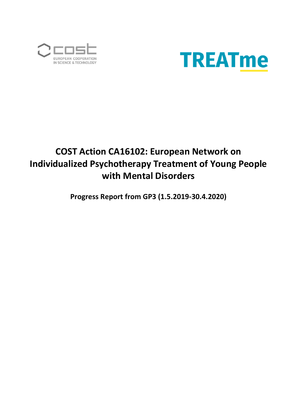



# **COST Action CA16102: European Network on Individualized Psychotherapy Treatment of Young People with Mental Disorders**

**Progress Report from GP3 (1.5.2019-30.4.2020)**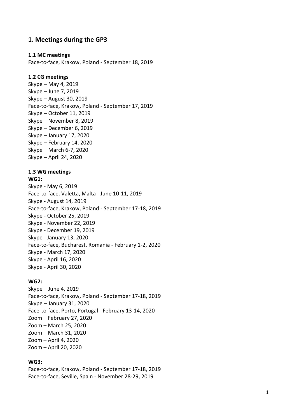## **1. Meetings during the GP3**

#### **1.1 MC meetings**

Face -to -face, Krakow, Poland - September 18, 2019

#### **1.2 CG meetings**

Skype – May 4, 2019 Skype – June 7, 2019 Skype – August 30, 2019 Face -to -face, Krakow, Poland - September 17, 2019 Skype – October 11, 2019 Skype – November 8, 2019 Skype – December 6, 2019 Skype – January 17, 2020 Skype – February 14, 2020 Skype – March 6 -7, 2020 Skype – April 24, 2020

#### **1.3 WG meetings**

#### **WG1:**

Skype - May 6, 2019 Face-to-face, Valetta, Malta - June 10-11, 2019 Skype - August 14, 2019 Face-to-face, Krakow, Poland - September 17-18, 2019 Skype - October 25, 2019 Skype - November 22, 2019 Skype - December 19, 2019 Skype - January 13, 2020 Face -to -face, Bucharest, Romania - February 1 -2, 2020 Skype - March 17, 2020 Skype - April 16, 2020 Skype - April 30, 2020

#### **WG2:**

Skype – June 4, 2019 Face-to-face, Krakow, Poland - September 17-18, 2019 Skype – January 31, 2020 Face-to-face, Porto, Portugal - February 13-14, 2020 Zoom – February 27, 2020 Zoom – March 25, 2020 Zoom – March 31, 2020 Zoom – April 4, 2020 Zoom – April 20, 2020

#### **WG3:**

Face-to-face, Krakow, Poland - September 17-18, 2019 Face -to -face, Seville, Spain - November 28 -29, 2019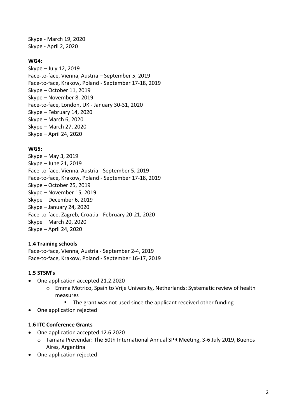Skype - March 19, 2020 Skype - April 2, 2020

#### **WG4:**

Skype – July 12, 2019 Face-to-face, Vienna, Austria – September 5, 2019 Face-to-face, Krakow, Poland - September 17-18, 2019 Skype – October 11, 2019 Skype – November 8, 2019 Face-to-face, London, UK - January 30-31, 2020 Skype – February 14, 2020 Skype – March 6, 2020 Skype – March 27, 2020 Skype – April 24, 2020

#### **WG5:**

Skype – May 3, 2019 Skype – June 21, 2019 Face-to-face, Vienna, Austria - September 5, 2019 Face-to-face, Krakow, Poland - September 17-18, 2019 Skype – October 25, 2019 Skype – November 15, 2019 Skype – December 6, 2019 Skype – January 24, 2020 Face-to-face, Zagreb, Croatia - February 20-21, 2020 Skype – March 20, 2020 Skype – April 24, 2020

## **1.4 Training schools**

Face-to-face, Vienna, Austria - September 2-4, 2019 Face-to-face, Krakow, Poland - September 16-17, 2019

## **1.5 STSM's**

- One application accepted 21.2.2020
	- o Emma Motrico, Spain to Vrije University, Netherlands: Systematic review of health measures
		- The grant was not used since the applicant received other funding
- One application rejected

## **1.6 ITC Conference Grants**

- One application accepted 12.6.2020
	- o Tamara Prevendar: The 50th International Annual SPR Meeting, 3-6 July 2019, Buenos Aires, Argentina
- One application rejected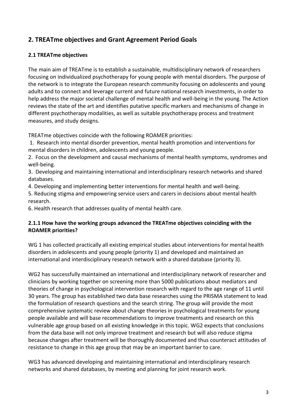# **2. TREATme objectives and Grant Agreement Period Goals**

## **2.1 TREATme objectives**

The main aim of TREATme is to establish a sustainable, multidisciplinary network of researchers focusing on individualized psychotherapy for young people with mental disorders. The purpose of the network is to integrate the European research community focusing on adolescents and young adults and to connect and leverage current and future national research investments, in order to help address the major societal challenge of mental health and well-being in the young. The Action reviews the state of the art and identifies putative specific markers and mechanisms of change in different psychotherapy modalities, as well as suitable psychotherapy process and treatment measures, and study designs.

TREATme objectives coincide with the following ROAMER priorities:

1. Research into mental disorder prevention, mental health promotion and interventions for mental disorders in children, adolescents and young people.

2. Focus on the development and causal mechanisms of mental health symptoms, syndromes and well-being.

3. Developing and maintaining international and interdisciplinary research networks and shared databases.

4. Developing and implementing better interventions for mental health and well-being.

5. Reducing stigma and empowering service users and carers in decisions about mental health research.

6. Health research that addresses quality of mental health care.

## **2.1.1 How have the working groups advanced the TREATme objectives coinciding with the ROAMER priorities?**

WG 1 has collected practically all existing empirical studies about interventions for mental health disorders in adolescents and young people (priority 1) and developed and maintained an international and interdisciplinary research network with a shared database (priority 3).

WG2 has successfully maintained an international and interdisciplinary network of researcher and clinicians by working together on screening more than 5000 publications about mediators and theories of change in psychological intervention research with regard to the age range of 11 until 30 years. The group has established two data base researches using the PRISMA statement to lead the formulation of research questions and the search string. The group will provide the most comprehensive systematic review about change theories in psychological treatments for young people available and will base recommendations to improve treatments and research on this vulnerable age group based on all existing knowledge in this topic. WG2 expects that conclusions from the data base will not only improve treatment and research but will also reduce stigma because changes after treatment will be thoroughly documented and thus counteract attitudes of resistance to change in this age group that may be an important barrier to care.

WG3 has advanced developing and maintaining international and interdisciplinary research networks and shared databases, by meeting and planning for joint research work.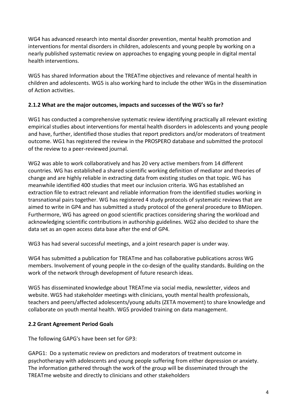WG4 has advanced research into mental disorder prevention, mental health promotion and interventions for mental disorders in children, adolescents and young people by working on a nearly published systematic review on approaches to engaging young people in digital mental health interventions.

WG5 has shared Information about the TREATme objectives and relevance of mental health in children and adolescents. WG5 is also working hard to include the other WGs in the dissemination of Action activities.

## **2.1.2 What are the major outcomes, impacts and successes of the WG's so far?**

WG1 has conducted a comprehensive systematic review identifying practically all relevant existing empirical studies about interventions for mental health disorders in adolescents and young people and have, further, identified those studies that report predictors and/or moderators of treatment outcome. WG1 has registered the review in the PROSPERO database and submitted the protocol of the review to a peer-reviewed journal.

WG2 was able to work collaboratively and has 20 very active members from 14 different countries. WG has established a shared scientific working definition of mediator and theories of change and are highly reliable in extracting data from existing studies on that topic. WG has meanwhile identified 400 studies that meet our inclusion criteria. WG has established an extraction file to extract relevant and reliable information from the identified studies working in transnational pairs together. WG has registered 4 study protocols of systematic reviews that are aimed to write in GP4 and has submitted a study protocol of the general procedure to BMJopen. Furthermore, WG has agreed on good scientific practices considering sharing the workload and acknowledging scientific contributions in authorship guidelines. WG2 also decided to share the data set as an open access data base after the end of GP4.

WG3 has had several successful meetings, and a joint research paper is under way.

WG4 has submitted a publication for TREATme and has collaborative publications across WG members. Involvement of young people in the co-design of the quality standards. Building on the work of the network through development of future research ideas.

WG5 has disseminated knowledge about TREATme via social media, newsletter, videos and website. WG5 had stakeholder meetings with clinicians, youth mental health professionals, teachers and peers/affected adolescents/young adults (ZETA movement) to share knowledge and collaborate on youth mental health. WG5 provided training on data management.

# **2.2 Grant Agreement Period Goals**

The following GAPG's have been set for GP3:

GAPG1: Do a systematic review on predictors and moderators of treatment outcome in psychotherapy with adolescents and young people suffering from either depression or anxiety. The information gathered through the work of the group will be disseminated through the TREATme website and directly to clinicians and other stakeholders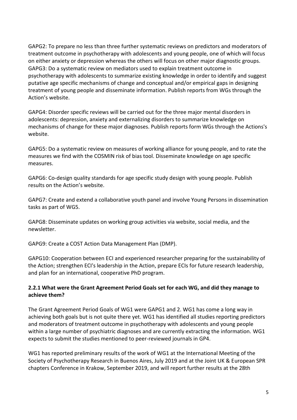GAPG2: To prepare no less than three further systematic reviews on predictors and moderators of treatment outcome in psychotherapy with adolescents and young people, one of which will focus on either anxiety or depression whereas the others will focus on other major diagnostic groups. GAPG3: Do a systematic review on mediators used to explain treatment outcome in psychotherapy with adolescents to summarize existing knowledge in order to identify and suggest putative age specific mechanisms of change and conceptual and/or empirical gaps in designing treatment of young people and disseminate information. Publish reports from WGs through the Action's website.

GAPG4: Disorder specific reviews will be carried out for the three major mental disorders in adolescents: depression, anxiety and externalizing disorders to summarize knowledge on mechanisms of change for these major diagnoses. Publish reports form WGs through the Actions's website.

GAPG5: Do a systematic review on measures of working alliance for young people, and to rate the measures we find with the COSMIN risk of bias tool. Disseminate knowledge on age specific measures.

GAPG6: Co-design quality standards for age specific study design with young people. Publish results on the Action's website.

GAPG7: Create and extend a collaborative youth panel and involve Young Persons in dissemination tasks as part of WG5.

GAPG8: Disseminate updates on working group activities via website, social media, and the newsletter.

GAPG9: Create a COST Action Data Management Plan (DMP).

GAPG10: Cooperation between ECI and experienced researcher preparing for the sustainability of the Action; strengthen ECI's leadership in the Action, prepare ECIs for future research leadership, and plan for an international, cooperative PhD program.

## **2.2.1 What were the Grant Agreement Period Goals set for each WG, and did they manage to achieve them?**

The Grant Agreement Period Goals of WG1 were GAPG1 and 2. WG1 has come a long way in achieving both goals but is not quite there yet. WG1 has identified all studies reporting predictors and moderators of treatment outcome in psychotherapy with adolescents and young people within a large number of psychiatric diagnoses and are currently extracting the information. WG1 expects to submit the studies mentioned to peer-reviewed journals in GP4.

WG1 has reported preliminary results of the work of WG1 at the International Meeting of the Society of Psychotherapy Research in Buenos Aires, July 2019 and at the Joint UK & European SPR chapters Conference in Krakow, September 2019, and will report further results at the 28th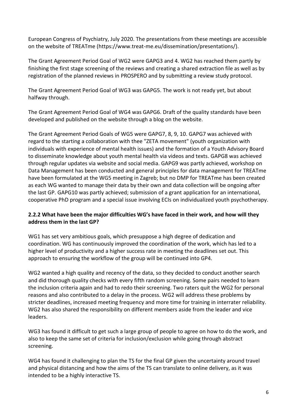European Congress of Psychiatry, July 2020. The presentations from these meetings are accessible on the website of TREATme (https://www.treat-me.eu/dissemination/presentations/).

The Grant Agreement Period Goal of WG2 were GAPG3 and 4. WG2 has reached them partly by finishing the first stage screening of the reviews and creating a shared extraction file as well as by registration of the planned reviews in PROSPERO and by submitting a review study protocol.

The Grant Agreement Period Goal of WG3 was GAPG5. The work is not ready yet, but about halfway through.

The Grant Agreement Period Goal of WG4 was GAPG6. Draft of the quality standards have been developed and published on the website through a blog on the website.

The Grant Agreement Period Goals of WG5 were GAPG7, 8, 9, 10. GAPG7 was achieved with regard to the starting a collaboration with thee "ZETA movement" (youth organization with individuals with experience of mental health issues) and the formation of a Youth Advisory Board to disseminate knowledge about youth mental health via videos and texts. GAPG8 was achieved through regular updates via website and social media. GAPG9 was partly achieved, workshop on Data Management has been conducted and general principles for data management for TREATme have been formulated at the WG5 meeting in Zagreb; but no DMP for TREATme has been created as each WG wanted to manage their data by their own and data collection will be ongoing after the last GP. GAPG10 was partly achieved; submission of a grant application for an international, cooperative PhD program and a special issue involving ECIs on individualized youth psychotherapy.

## **2.2.2 What have been the major difficulties WG's have faced in their work, and how will they address them in the last GP?**

WG1 has set very ambitious goals, which presuppose a high degree of dedication and coordination. WG has continuously improved the coordination of the work, which has led to a higher level of productivity and a higher success rate in meeting the deadlines set out. This approach to ensuring the workflow of the group will be continued into GP4.

WG2 wanted a high quality and recency of the data, so they decided to conduct another search and did thorough quality checks with every fifth random screening. Some pairs needed to learn the inclusion criteria again and had to redo their screening. Two raters quit the WG2 for personal reasons and also contributed to a delay in the process. WG2 will address these problems by stricter deadlines, increased meeting frequency and more time for training in interrater reliability. WG2 has also shared the responsibility on different members aside from the leader and vice leaders.

WG3 has found it difficult to get such a large group of people to agree on how to do the work, and also to keep the same set of criteria for inclusion/exclusion while going through abstract screening.

WG4 has found it challenging to plan the TS for the final GP given the uncertainty around travel and physical distancing and how the aims of the TS can translate to online delivery, as it was intended to be a highly interactive TS.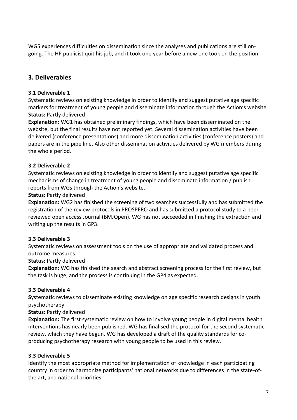WG5 experiences difficulties on dissemination since the analyses and publications are still ongoing. The HP publicist quit his job, and it took one year before a new one took on the position.

# **3. Deliverables**

# **3.1 Deliverable 1**

Systematic reviews on existing knowledge in order to identify and suggest putative age specific markers for treatment of young people and disseminate information through the Action's website. **Status:** Partly delivered

**Explanation:** WG1 has obtained preliminary findings, which have been disseminated on the website, but the final results have not reported yet. Several dissemination activities have been delivered (conference presentations) and more dissemination activities (conference posters) and papers are in the pipe line. Also other dissemination activities delivered by WG members during the whole period.

# **3.2 Deliverable 2**

Systematic reviews on existing knowledge in order to identify and suggest putative age specific mechanisms of change in treatment of young people and disseminate information / publish reports from WGs through the Action's website.

# **Status:** Partly delivered

**Explanation:** WG2 has finished the screening of two searches successfully and has submitted the registration of the review protocols in PROSPERO and has submitted a protocol study to a peerreviewed open access Journal (BMJOpen). WG has not succeeded in finishing the extraction and writing up the results in GP3.

# **3.3 Deliverable 3**

Systematic reviews on assessment tools on the use of appropriate and validated process and outcome measures.

# **Status:** Partly delivered

**Explanation:** WG has finished the search and abstract screening process for the first review, but the task is huge, and the process is continuing in the GP4 as expected.

# **3.3 Deliverable 4**

**S**ystematic reviews to disseminate existing knowledge on age specific research designs in youth psychotherapy.

# **Status:** Partly delivered

**Explanation:** The first systematic review on how to involve young people in digital mental health interventions has nearly been published. WG has finalised the protocol for the second systematic review, which they have begun. WG has developed a draft of the quality standards for coproducing psychotherapy research with young people to be used in this review.

# **3.3 Deliverable 5**

Identify the most appropriate method for implementation of knowledge in each participating country in order to harmonize participants' national networks due to differences in the state-ofthe art, and national priorities.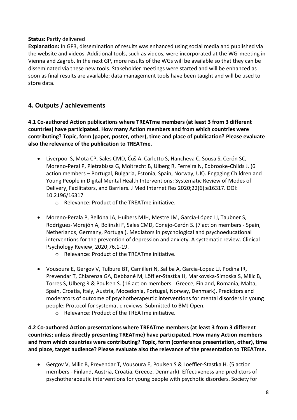## **Status:** Partly delivered

**Explanation:** In GP3, dissemination of results was enhanced using social media and published via the website and videos. Additional tools, such as videos, were incorporated at the WG-meeting in Vienna and Zagreb. In the next GP, more results of the WGs will be available so that they can be disseminated via these new tools. Stakeholder meetings were started and will be enhanced as soon as final results are available; data management tools have been taught and will be used to store data.

# **4. Outputs / achievements**

**4.1 Co-authored Action publications where TREATme members (at least 3 from 3 different countries) have participated. How many Action members and from which countries were contributing? Topic, form (paper, poster, other), time and place of publication? Please evaluate also the relevance of the publication to TREATme.**

- Liverpool S, Mota CP, Sales CMD, Čuš A, Carletto S, Hancheva C, Sousa S, Cerón SC, Moreno-Peral P, Pietrabissa G, Moltrecht B, Ulberg R, Ferreira N, Edbrooke-Childs J. (6 action members – Portugal, Bulgaria, Estonia, Spain, Norway, UK). Engaging Children and Young People in Digital Mental Health Interventions: Systematic Review of Modes of Delivery, Facilitators, and Barriers. J Med Internet Res 2020;22(6):e16317. DOI: 10.2196/16317
	- o Relevance: Product of the TREATme initiative.
- Moreno-Perala P, Bellóna JA, Huibers MJH, Mestre JM, García-López LJ, Taubner S, Rodríguez-Morejón A, Bolinski F, Sales CMD, Conejo-Cerón S. (7 action members - Spain, Netherlands, Germany, Portugal). Mediators in psychological and psychoeducational interventions for the prevention of depression and anxiety. A systematic review. Clinical Psychology Review, 2020;76,1-19.
	- o Relevance: Product of the TREATme initiative.
- Vousoura E, Gergov V, Tulbure BT, Camilleri N, Saliba A, Garcia-Lopez LJ, Podina IR, Prevendar T, Chiarenza GA, Debbané M, Löffler-Stastka H, Markovska-Simoska S, Milic B, Torres S, Ulberg R & Poulsen S. (16 action members - Greece, Finland, Romania, Malta, Spain, Croatia, Italy, Austria, Mocedonia, Portugal, Norway, Denmark). Predictors and moderators of outcome of psychotherapeutic interventions for mental disorders in young people: Protocol for systematic reviews. Submitted to BMJ Open.
	- o Relevance: Product of the TREATme initiative.

**4.2 Co-authored Action presentations where TREATme members (at least 3 from 3 different countries; unless directly presenting TREATme) have participated. How many Action members and from which countries were contributing? Topic, form (conference presentation, other), time and place, target audience? Please evaluate also the relevance of the presentation to TREATme.** 

• Gergov V, Milic B, Prevendar T, Vousoura E, Poulsen S & Loeffler-Stastka H. (5 action members - Finland, Austria, Croatia, Greece, Denmark). Effectiveness and predictors of psychotherapeutic interventions for young people with psychotic disorders. Society for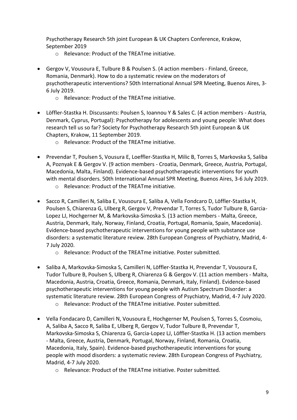Psychotherapy Research 5th joint European & UK Chapters Conference, Krakow, September 2019

- o Relevance: Product of the TREATme initiative.
- Gergov V, Vousoura E, Tulbure B & Poulsen S. (4 action members Finland, Greece, Romania, Denmark). How to do a systematic review on the moderators of psychotherapeutic interventions? 50th International Annual SPR Meeting, Buenos Aires, 3- 6 July 2019.
	- o Relevance: Product of the TREATme initiative.
- Löffler-Stastka H. Discussants: Poulsen S, Ioannou Y & Sales C. (4 action members Austria, Denmark, Cyprus, Portugal): Psychotherapy for adolescents and young people: What does research tell us so far? Society for Psychotherapy Research 5th joint European & UK Chapters, Krakow, 11 September 2019.
	- o Relevance: Product of the TREATme initiative.
- Prevendar T, Poulsen S, Vousura E, Loeffler-Stastka H, Milic B, Torres S, Markovska S, Saliba A, Poznyak E & Gergov V. (9 action members - Croatia, Denmark, Greece, Austria, Portugal, Macedonia, Malta, Finland). Evidence-based psychotherapeutic interventions for youth with mental disorders. 50th International Annual SPR Meeting, Buenos Aires, 3-6 July 2019.
	- o Relevance: Product of the TREATme initiative.
- Sacco R, Camilleri N, Saliba E, Vousoura E, Saliba A, Vella Fondcaro D, Löffler-Stastka H, Poulsen S, Chiarenza G, Ulberg R, Gergov V, Prevendar T, Torres S, Tudor Tulbure B, Garcia-Lopez LJ, Hochgerner M, & Markovska-Simoska S. (13 action members - Malta, Greece, Austria, Denmark, Italy, Norway, Finland, Croatia, Portugal, Romania, Spain, Macedonia). Evidence-based psychotherapeutic interventions for young people with substance use disorders: a systematic literature review. 28th European Congress of Psychiatry, Madrid, 4- 7 July 2020.
	- o Relevance: Product of the TREATme initiative. Poster submitted.
- Saliba A, Markovska-Simoska S, Camilleri N, Löffler-Stastka H, Prevendar T, Vousoura E, Tudor Tulbure B, Poulsen S, Ulberg R, Chiarenza G & Gergov V. (11 action members - Malta, Macedonia, Austria, Croatia, Greece, Romania, Denmark, Italy, Finland). Evidence-based psychotherapeutic interventions for young people with Autism Spectrum Disorder: a systematic literature review. 28th European Congress of Psychiatry, Madrid, 4-7 July 2020.
	- o Relevance: Product of the TREATme initiative. Poster submitted.
- Vella Fondacaro D, Camilleri N, Vousoura E, Hochgerner M, Poulsen S, Torres S, Cosmoiu, A, Saliba A, Sacco R, Saliba E, Ulberg R, Gergov V, Tudor Tulbure B, Prevendar T, Markovska-Simoska S, Chiarenza G, Garcia-Lopez LJ, Löffler-Stastka H. (13 action members - Malta, Greece, Austria, Denmark, Portugal, Norway, Finland, Romania, Croatia, Macedonia, Italy, Spain). Evidence-based psychotherapeutic interventions for young people with mood disorders: a systematic review. 28th European Congress of Psychiatry, Madrid, 4-7 July 2020.
	- o Relevance: Product of the TREATme initiative. Poster submitted.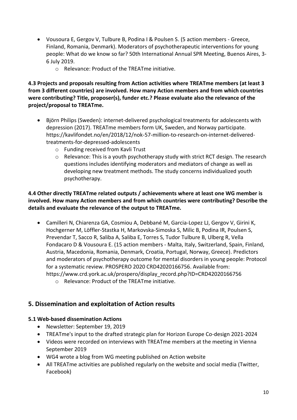- Vousoura E, Gergov V, Tulbure B, Podina I & Poulsen S. (5 action members Greece, Finland, Romania, Denmark). Moderators of psychotherapeutic interventions for young people: What do we know so far? 50th International Annual SPR Meeting, Buenos Aires, 3- 6 July 2019.
	- o Relevance: Product of the TREATme initiative.

**4.3 Projects and proposals resulting from Action activities where TREATme members (at least 3 from 3 different countries) are involved. How many Action members and from which countries were contributing? Title, proposer(s), funder etc.? Please evaluate also the relevance of the project/proposal to TREATme.**

- Björn Philips (Sweden): internet-delivered psychological treatments for adolescents with depression (2017). TREATme members form UK, Sweden, and Norway participate. https://kavlifondet.no/en/2018/12/nok-57-million-to-research-on-internet-deliveredtreatments-for-depressed-adolescents
	- o Funding received from Kavli Trust
	- o Relevance: This is a youth psychotherapy study with strict RCT design. The research questions includes identifying moderators and mediators of change as well as developing new treatment methods. The study concerns individualized youth psychotherapy.

## **4.4 Other directly TREATme related outputs / achievements where at least one WG member is involved. How many Action members and from which countries were contributing? Describe the details and evaluate the relevance of the output to TREATme.**

- Camilleri N, Chiarenza GA, Cosmiou A, Debbané M, Garcia-Lopez LJ, Gergov V, Girini K, Hochgerner M, Löffler-Stastka H, Markovska-Simoska S, Milic B, Podina IR, Poulsen S, Prevendar T, Sacco R, Saliba A, Saliba E, Torres S, Tudor Tulbure B, Ulberg R, Vella Fondacaro D & Vousoura E. (15 action members - Malta, Italy, Switzerland, Spain, Finland, Austria, Macedonia, Romania, Denmark, Croatia, Portugal, Norway, Greece). Predictors and moderators of psychotherapy outcome for mental disorders in young people: Protocol for a systematic review. PROSPERO 2020 CRD42020166756. Available from: https://www.crd.york.ac.uk/prospero/display\_record.php?ID=CRD42020166756
	- o Relevance: Product of the TREATme initiative.

# **5. Dissemination and exploitation of Action results**

# **5.1 Web-based dissemination Actions**

- Newsletter: September 19, 2019
- TREATme's input to the drafted strategic plan for Horizon Europe Co-design 2021-2024
- Videos were recorded on interviews with TREATme members at the meeting in Vienna September 2019
- WG4 wrote a blog from WG meeting published on Action website
- All TREATme activities are published regularly on the website and social media (Twitter, Facebook)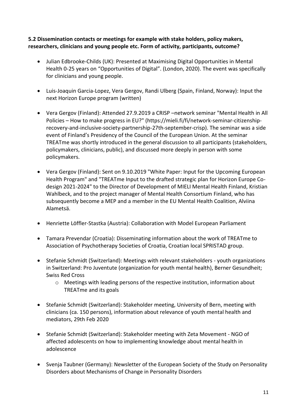## **5.2 Dissemination contacts or meetings for example with stake holders, policy makers, researchers, clinicians and young people etc. Form of activity, participants, outcome?**

- Julian Edbrooke-Childs (UK): Presented at Maximising Digital Opportunities in Mental Health 0-25 years on "Opportunities of Digital". (London, 2020). The event was specifically for clinicians and young people.
- Luis-Joaquin Garcia-Lopez, Vera Gergov, Randi Ulberg (Spain, Finland, Norway): Input the next Horizon Europe program (written)
- Vera Gergov (Finland): Attended 27.9.2019 a CRISP –network seminar "Mental Health in All Policies – How to make progress in EU?" (https://mieli.fi/fi/network-seminar-citizenshiprecovery-and-inclusive-society-partnership-27th-september-crisp). The seminar was a side event of Finland's Presidency of the Council of the European Union. At the seminar TREATme was shortly introduced in the general discussion to all participants (stakeholders, policymakers, clinicians, public), and discussed more deeply in person with some policymakers.
- Vera Gergov (Finland): Sent on 9.10.2019 "White Paper: Input for the Upcoming European Health Program" and "TREATme Input to the drafted strategic plan for Horizon Europe Codesign 2021-2024" to the Director of Development of MIELI Mental Health Finland, Kristian Wahlbeck, and to the project manager of Mental Health Consortium Finland, who has subsequently become a MEP and a member in the EU Mental Health Coalition, Alviina Alametsä.
- Henriette Löffler-Stastka (Austria): Collaboration with Model European Parliament
- Tamara Prevendar (Croatia): Disseminating information about the work of TREATme to Association of Psychotherapy Societies of Croatia, Croatian local SPRISTAD group.
- Stefanie Schmidt (Switzerland): Meetings with relevant stakeholders youth organizations in Switzerland: Pro Juventute (organization for youth mental health), Berner Gesundheit; Swiss Red Cross
	- o Meetings with leading persons of the respective institution, information about TREATme and its goals
- Stefanie Schmidt (Switzerland): Stakeholder meeting, University of Bern, meeting with clinicians (ca. 150 persons), information about relevance of youth mental health and mediators, 29th Feb 2020
- Stefanie Schmidt (Switzerland): Stakeholder meeting with Zeta Movement NGO of affected adolescents on how to implementing knowledge about mental health in adolescence
- Svenja Taubner (Germany): Newsletter of the European Society of the Study on Personality Disorders about Mechanisms of Change in Personality Disorders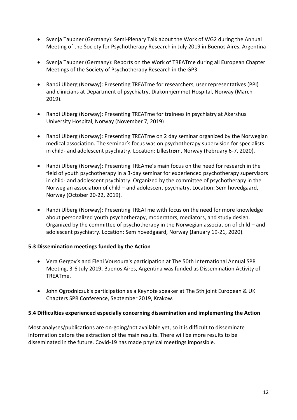- Svenja Taubner (Germany): Semi-Plenary Talk about the Work of WG2 during the Annual Meeting of the Society for Psychotherapy Research in July 2019 in Buenos Aires, Argentina
- Svenja Taubner (Germany): Reports on the Work of TREATme during all European Chapter Meetings of the Society of Psychotherapy Research in the GP3
- Randi Ulberg (Norway): Presenting TREATme for researchers, user representatives (PPI) and clinicians at Department of psychiatry, Diakonhjemmet Hospital, Norway (March 2019).
- Randi Ulberg (Norway): Presenting TREATme for trainees in psychiatry at Akershus University Hospital, Norway (November 7, 2019)
- Randi Ulberg (Norway): Presenting TREATme on 2 day seminar organized by the Norwegian medical association. The seminar's focus was on psychotherapy supervision for specialists in child- and adolescent psychiatry. Location: Lillestrøm, Norway (February 6-7, 2020).
- Randi Ulberg (Norway): Presenting TREAme's main focus on the need for research in the field of youth psychotherapy in a 3-day seminar for experienced psychotherapy supervisors in child- and adolescent psychiatry. Organized by the committee of psychotherapy in the Norwegian association of child – and adolescent psychiatry. Location: Sem hovedgaard, Norway (October 20-22, 2019).
- Randi Ulberg (Norway): Presenting TREATme with focus on the need for more knowledge about personalized youth psychotherapy, moderators, mediators, and study design. Organized by the committee of psychotherapy in the Norwegian association of child – and adolescent psychiatry. Location: Sem hovedgaard, Norway (January 19-21, 2020).

## **5.3 Dissemination meetings funded by the Action**

- Vera Gergov's and Eleni Vousoura's participation at The 50th International Annual SPR Meeting, 3-6 July 2019, Buenos Aires, Argentina was funded as Dissemination Activity of TREATme.
- John Ogrodniczuk's participation as a Keynote speaker at The 5th joint European & UK Chapters SPR Conference, September 2019, Krakow.

#### **5.4 Difficulties experienced especially concerning dissemination and implementing the Action**

Most analyses/publications are on-going/not available yet, so it is difficult to disseminate information before the extraction of the main results. There will be more results to be disseminated in the future. Covid-19 has made physical meetings impossible.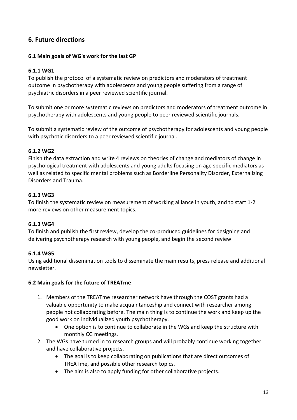# **6. Future directions**

## **6.1 Main goals of WG's work for the last GP**

#### **6.1.1 WG1**

To publish the protocol of a systematic review on predictors and moderators of treatment outcome in psychotherapy with adolescents and young people suffering from a range of psychiatric disorders in a peer reviewed scientific journal.

To submit one or more systematic reviews on predictors and moderators of treatment outcome in psychotherapy with adolescents and young people to peer reviewed scientific journals.

To submit a systematic review of the outcome of psychotherapy for adolescents and young people with psychotic disorders to a peer reviewed scientific journal.

#### **6.1.2 WG2**

Finish the data extraction and write 4 reviews on theories of change and mediators of change in psychological treatment with adolescents and young adults focusing on age specific mediators as well as related to specific mental problems such as Borderline Personality Disorder, Externalizing Disorders and Trauma.

#### **6.1.3 WG3**

To finish the systematic review on measurement of working alliance in youth, and to start 1-2 more reviews on other measurement topics.

#### **6.1.3 WG4**

To finish and publish the first review, develop the co-produced guidelines for designing and delivering psychotherapy research with young people, and begin the second review.

## **6.1.4 WG5**

Using additional dissemination tools to disseminate the main results, press release and additional newsletter.

#### **6.2 Main goals for the future of TREATme**

- 1. Members of the TREATme researcher network have through the COST grants had a valuable opportunity to make acquaintanceship and connect with researcher among people not collaborating before. The main thing is to continue the work and keep up the good work on individualized youth psychotherapy.
	- One option is to continue to collaborate in the WGs and keep the structure with monthly CG meetings.
- 2. The WGs have turned in to research groups and will probably continue working together and have collaborative projects.
	- The goal is to keep collaborating on publications that are direct outcomes of TREATme, and possible other research topics.
	- The aim is also to apply funding for other collaborative projects.